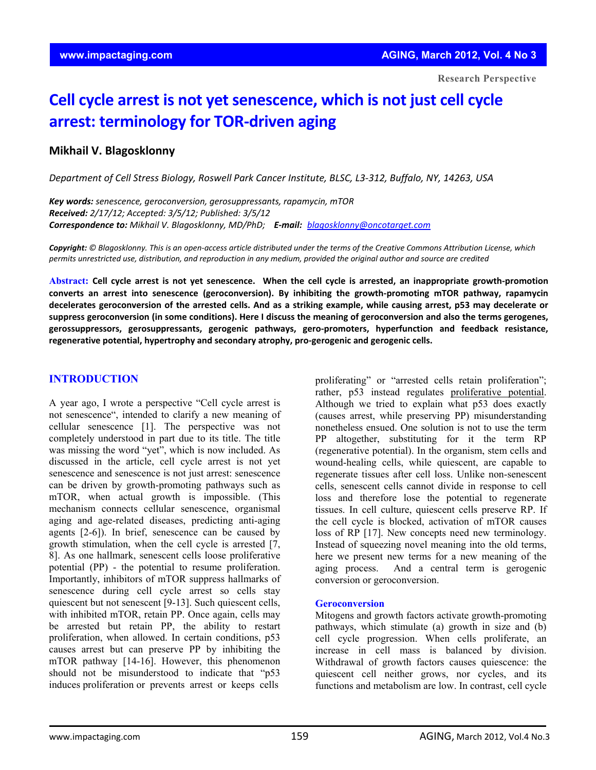# **Cell cycle arrest is not yet senescence, which is not just cell cycle arrest: terminology for TOR‐driven aging**

# **Mikhail V. Blagosklonny**

*Department of Cell Stress Biology, Roswell Park Cancer Institute, BLSC, L3‐312, Buffalo, NY, 14263, USA*

*Key words: senescence, geroconversion, gerosuppressants, rapamycin, mTOR Received: 2/17/12; Accepted: 3/5/12; Published: 3/5/12 Correspondence to: Mikhail V. Blagosklonny, MD/PhD; E‐mail: blagosklonny@oncotarget.com*

Copyright: © Blagosklonny. This is an open-access article distributed under the terms of the Creative Commons Attribution License, which permits unrestricted use, distribution, and reproduction in any medium, provided the original author and source are credited

Abstract: Cell cycle arrest is not yet senescence. When the cell cycle is arrested, an inappropriate growth-promotion **converts an arrest into senescence (geroconversion). By inhibiting the growth‐promoting mTOR pathway, rapamycin** decelerates geroconversion of the arrested cells. And as a striking example, while causing arrest, p53 may decelerate or suppress geroconversion (in some conditions). Here I discuss the meaning of geroconversion and also the terms gerogenes, **gerossuppressors, gerosuppressants, gerogenic pathways, gero‐promoters, hyperfunction and feedback resistance, regenerative potential, hypertrophy and secondary atrophy, pro‐gerogenic and gerogenic cells.**

# **INTRODUCTION**

A year ago, I wrote a perspective "Cell cycle arrest is not senescence", intended to clarify a new meaning of cellular senescence [1]. The perspective was not completely understood in part due to its title. The title was missing the word "yet", which is now included. As discussed in the article, cell cycle arrest is not yet senescence and senescence is not just arrest: senescence can be driven by growth-promoting pathways such as mTOR, when actual growth is impossible. (This mechanism connects cellular senescence, organismal aging and age-related diseases, predicting anti-aging agents [2-6]). In brief, senescence can be caused by growth stimulation, when the cell cycle is arrested [7, 8]. As one hallmark, senescent cells loose proliferative potential (PP) - the potential to resume proliferation. Importantly, inhibitors of mTOR suppress hallmarks of senescence during cell cycle arrest so cells stay quiescent but not senescent [9-13]. Such quiescent cells, with inhibited mTOR, retain PP. Once again, cells may be arrested but retain PP, the ability to restart proliferation, when allowed. In certain conditions, p53 causes arrest but can preserve PP by inhibiting the mTOR pathway [14-16]. However, this phenomenon should not be misunderstood to indicate that "p53 induces proliferation or prevents arrest or keeps cells

proliferating" or "arrested cells retain proliferation": rather, p53 instead regulates proliferative potential. Although we tried to explain what p53 does exactly (causes arrest, while preserving PP) misunderstanding nonetheless ensued. One solution is not to use the term PP altogether, substituting for it the term RP (regenerative potential). In the organism, stem cells and wound-healing cells, while quiescent, are capable to regenerate tissues after cell loss. Unlike non-senescent cells, senescent cells cannot divide in response to cell loss and therefore lose the potential to regenerate tissues. In cell culture, quiescent cells preserve RP. If the cell cycle is blocked, activation of mTOR causes loss of RP [17]. New concepts need new terminology. Instead of squeezing novel meaning into the old terms, here we present new terms for a new meaning of the aging process. And a central term is gerogenic conversion or geroconversion.

#### **Geroconversion**

Mitogens and growth factors activate growth-promoting pathways, which stimulate (a) growth in size and (b) cell cycle progression. When cells proliferate, an increase in cell mass is balanced by division. Withdrawal of growth factors causes quiescence: the quiescent cell neither grows, nor cycles, and its functions and metabolism are low. In contrast, cell cycle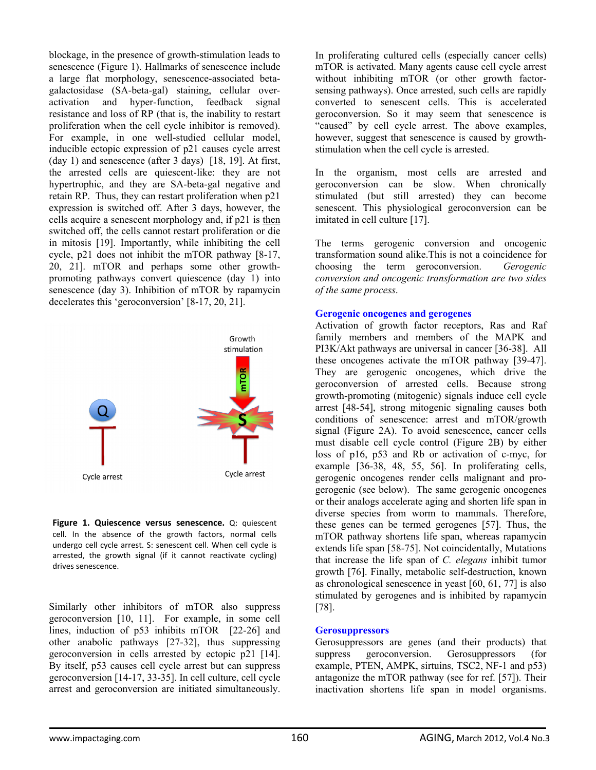blockage, in the presence of growth-stimulation leads to senescence (Figure 1). Hallmarks of senescence include a large flat morphology, senescence-associated betagalactosidase (SA-beta-gal) staining, cellular overactivation and hyper-function, feedback signal resistance and loss of RP (that is, the inability to restart proliferation when the cell cycle inhibitor is removed). For example, in one well-studied cellular model, inducible ectopic expression of p21 causes cycle arrest (day 1) and senescence (after 3 days) [18, 19]. At first, the arrested cells are quiescent-like: they are not hypertrophic, and they are SA-beta-gal negative and retain RP. Thus, they can restart proliferation when p21 expression is switched off. After 3 days, however, the cells acquire a senescent morphology and, if p21 is then switched off, the cells cannot restart proliferation or die in mitosis [19]. Importantly, while inhibiting the cell cycle, p21 does not inhibit the mTOR pathway [8-17, 20, 21]. mTOR and perhaps some other growthpromoting pathways convert quiescence (day 1) into senescence (day 3). Inhibition of mTOR by rapamycin decelerates this 'geroconversion' [8-17, 20, 21].



**Figure 1. Quiescence versus senescence.** Q: quiescent cell. In the absence of the growth factors, normal cells undergo cell cycle arrest. S: senescent cell. When cell cycle is arrested, the growth signal (if it cannot reactivate cycling) drives senescence.

Similarly other inhibitors of mTOR also suppress geroconversion [10, 11]. For example, in some cell lines, induction of p53 inhibits mTOR [22-26] and other anabolic pathways [27-32], thus suppressing geroconversion in cells arrested by ectopic p21 [14]. By itself, p53 causes cell cycle arrest but can suppress geroconversion [14-17, 33-35]. In cell culture, cell cycle arrest and geroconversion are initiated simultaneously.

In proliferating cultured cells (especially cancer cells) mTOR is activated. Many agents cause cell cycle arrest without inhibiting mTOR (or other growth factorsensing pathways). Once arrested, such cells are rapidly converted to senescent cells. This is accelerated geroconversion. So it may seem that senescence is "caused" by cell cycle arrest. The above examples, however, suggest that senescence is caused by growthstimulation when the cell cycle is arrested.

In the organism, most cells are arrested and geroconversion can be slow. When chronically stimulated (but still arrested) they can become senescent. This physiological geroconversion can be imitated in cell culture [17].

The terms gerogenic conversion and oncogenic transformation sound alike.This is not a coincidence for choosing the term geroconversion. *Gerogenic conversion and oncogenic transformation are two sides of the same process*.

#### **Gerogenic oncogenes and gerogenes**

Activation of growth factor receptors, Ras and Raf family members and members of the MAPK and PI3K/Akt pathways are universal in cancer [36-38]. All these oncogenes activate the mTOR pathway [39-47]. They are gerogenic oncogenes, which drive the geroconversion of arrested cells. Because strong growth-promoting (mitogenic) signals induce cell cycle arrest [48-54], strong mitogenic signaling causes both conditions of senescence: arrest and mTOR/growth signal (Figure 2A). To avoid senescence, cancer cells must disable cell cycle control (Figure 2B) by either loss of p16, p53 and Rb or activation of c-myc, for example [36-38, 48, 55, 56]. In proliferating cells, gerogenic oncogenes render cells malignant and progerogenic (see below). The same gerogenic oncogenes or their analogs accelerate aging and shorten life span in diverse species from worm to mammals. Therefore, these genes can be termed gerogenes [57]. Thus, the mTOR pathway shortens life span, whereas rapamycin extends life span [58-75]. Not coincidentally, Mutations that increase the life span of *C. elegans* inhibit tumor growth [76]. Finally, metabolic self-destruction, known as chronological senescence in yeast [60, 61, 77] is also stimulated by gerogenes and is inhibited by rapamycin [78].

#### **Gerosuppressors**

Gerosuppressors are genes (and their products) that suppress geroconversion. Gerosuppressors (for example, PTEN, AMPK, sirtuins, TSC2, NF-1 and p53) antagonize the mTOR pathway (see for ref. [57]). Their inactivation shortens life span in model organisms.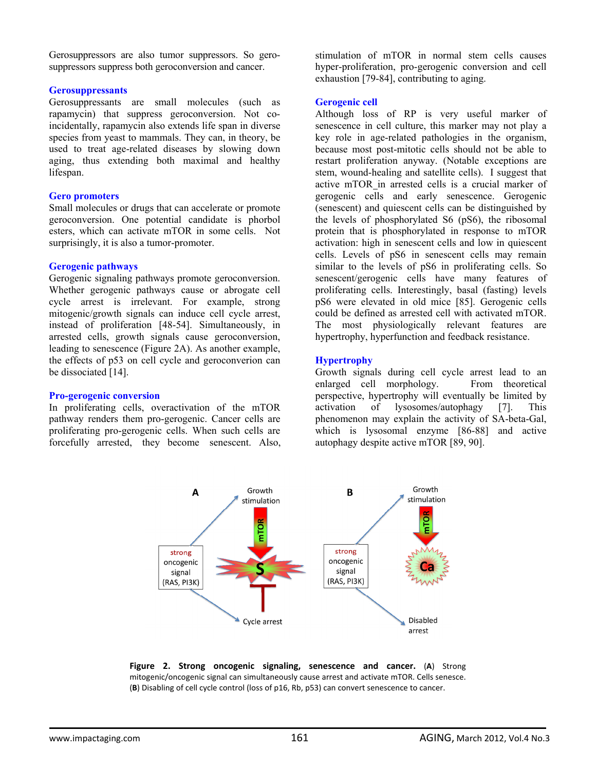Gerosuppressors are also tumor suppressors. So gerosuppressors suppress both geroconversion and cancer.

#### **Gerosuppressants**

Gerosuppressants are small molecules (such as rapamycin) that suppress geroconversion. Not coincidentally, rapamycin also extends life span in diverse species from yeast to mammals. They can, in theory, be used to treat age-related diseases by slowing down aging, thus extending both maximal and healthy lifespan.

## **Gero promoters**

Small molecules or drugs that can accelerate or promote geroconversion. One potential candidate is phorbol esters, which can activate mTOR in some cells. Not surprisingly, it is also a tumor-promoter.

## **Gerogenic pathways**

Gerogenic signaling pathways promote geroconversion. Whether gerogenic pathways cause or abrogate cell cycle arrest is irrelevant. For example, strong mitogenic/growth signals can induce cell cycle arrest, instead of proliferation [48-54]. Simultaneously, in arrested cells, growth signals cause geroconversion, leading to senescence (Figure 2A). As another example, the effects of p53 on cell cycle and geroconverion can be dissociated [14].

## **Pro-gerogenic conversion**

In proliferating cells, overactivation of the mTOR pathway renders them pro-gerogenic. Cancer cells are proliferating pro-gerogenic cells. When such cells are forcefully arrested, they become senescent. Also,

stimulation of mTOR in normal stem cells causes hyper-proliferation, pro-gerogenic conversion and cell exhaustion [79-84], contributing to aging.

#### **Gerogenic cell**

Although loss of RP is very useful marker of senescence in cell culture, this marker may not play a key role in age-related pathologies in the organism, because most post-mitotic cells should not be able to restart proliferation anyway. (Notable exceptions are stem, wound-healing and satellite cells). I suggest that active mTOR in arrested cells is a crucial marker of gerogenic cells and early senescence. Gerogenic (senescent) and quiescent cells can be distinguished by the levels of phosphorylated S6 (pS6), the ribosomal protein that is phosphorylated in response to mTOR activation: high in senescent cells and low in quiescent cells. Levels of pS6 in senescent cells may remain similar to the levels of pS6 in proliferating cells. So senescent/gerogenic cells have many features of proliferating cells. Interestingly, basal (fasting) levels pS6 were elevated in old mice [85]. Gerogenic cells could be defined as arrested cell with activated mTOR. The most physiologically relevant features are hypertrophy, hyperfunction and feedback resistance.

## **Hypertrophy**

Growth signals during cell cycle arrest lead to an enlarged cell morphology. From theoretical perspective, hypertrophy will eventually be limited by activation of lysosomes/autophagy [7]. This phenomenon may explain the activity of SA-beta-Gal, which is lysosomal enzyme [86-88] and active autophagy despite active mTOR [89, 90].



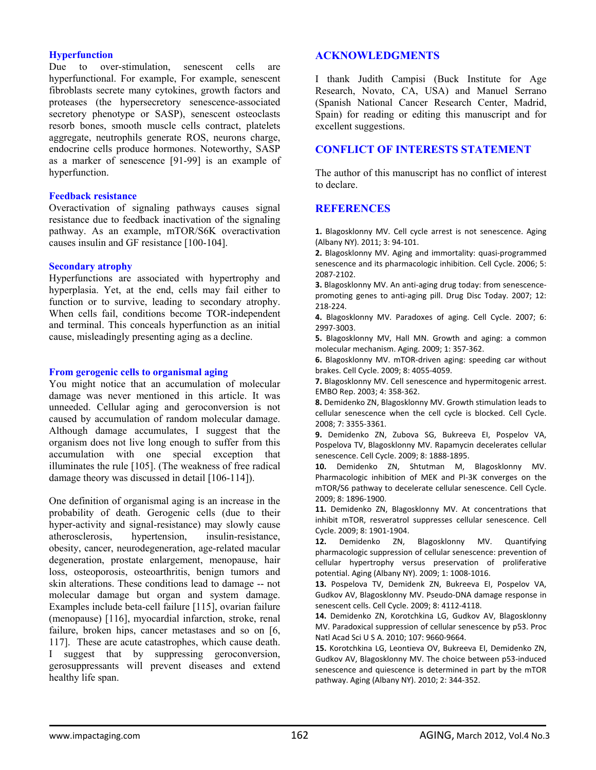#### **Hyperfunction**

Due to over-stimulation, senescent cells are hyperfunctional. For example, For example, senescent fibroblasts secrete many cytokines, growth factors and proteases (the hypersecretory senescence-associated secretory phenotype or SASP), senescent osteoclasts resorb bones, smooth muscle cells contract, platelets aggregate, neutrophils generate ROS, neurons charge, endocrine cells produce hormones. Noteworthy, SASP as a marker of senescence [91-99] is an example of hyperfunction.

#### **Feedback resistance**

Overactivation of signaling pathways causes signal resistance due to feedback inactivation of the signaling pathway. As an example, mTOR/S6K overactivation causes insulin and GF resistance [100-104].

#### **Secondary atrophy**

Hyperfunctions are associated with hypertrophy and hyperplasia. Yet, at the end, cells may fail either to function or to survive, leading to secondary atrophy. When cells fail, conditions become TOR-independent and terminal. This conceals hyperfunction as an initial cause, misleadingly presenting aging as a decline.

#### **From gerogenic cells to organismal aging**

You might notice that an accumulation of molecular damage was never mentioned in this article. It was unneeded. Cellular aging and geroconversion is not caused by accumulation of random molecular damage. Although damage accumulates, I suggest that the organism does not live long enough to suffer from this accumulation with one special exception that illuminates the rule [105]. (The weakness of free radical damage theory was discussed in detail [106-114]).

One definition of organismal aging is an increase in the probability of death. Gerogenic cells (due to their hyper-activity and signal-resistance) may slowly cause atherosclerosis, hypertension, insulin-resistance, obesity, cancer, neurodegeneration, age-related macular degeneration, prostate enlargement, menopause, hair loss, osteoporosis, osteoarthritis, benign tumors and skin alterations. These conditions lead to damage -- not molecular damage but organ and system damage. Examples include beta-cell failure [115], ovarian failure (menopause) [116], myocardial infarction, stroke, renal failure, broken hips, cancer metastases and so on [6, 117]. These are acute catastrophes, which cause death. I suggest that by suppressing geroconversion, gerosuppressants will prevent diseases and extend healthy life span.

# **ACKNOWLEDGMENTS**

I thank Judith Campisi (Buck Institute for Age Research, Novato, CA, USA) and Manuel Serrano (Spanish National Cancer Research Center, Madrid, Spain) for reading or editing this manuscript and for excellent suggestions.

# **CONFLICT OF INTERESTS STATEMENT**

The author of this manuscript has no conflict of interest to declare.

# **REFERENCES**

**1.** Blagosklonny MV. Cell cycle arrest is not senescence. Aging (Albany NY). 2011; 3: 94‐101.

**2.** Blagosklonny MV. Aging and immortality: quasi‐programmed senescence and its pharmacologic inhibition. Cell Cycle. 2006; 5: 2087‐2102.

**3.** Blagosklonny MV. An anti‐aging drug today: from senescence‐ promoting genes to anti-aging pill. Drug Disc Today. 2007; 12: 218‐224.

**4.** Blagosklonny MV. Paradoxes of aging. Cell Cycle. 2007; 6: 2997‐3003.

**5.** Blagosklonny MV, Hall MN. Growth and aging: a common molecular mechanism. Aging. 2009; 1: 357‐362.

**6.** Blagosklonny MV. mTOR‐driven aging: speeding car without brakes. Cell Cycle. 2009; 8: 4055‐4059.

**7.** Blagosklonny MV. Cell senescence and hypermitogenic arrest. EMBO Rep. 2003; 4: 358‐362.

**8.** Demidenko ZN, Blagosklonny MV. Growth stimulation leads to cellular senescence when the cell cycle is blocked. Cell Cycle. 2008; 7: 3355‐3361.

**9.** Demidenko ZN, Zubova SG, Bukreeva EI, Pospelov VA, Pospelova TV, Blagosklonny MV. Rapamycin decelerates cellular senescence. Cell Cycle. 2009; 8: 1888‐1895.

**10.** Demidenko ZN, Shtutman M, Blagosklonny MV. Pharmacologic inhibition of MEK and PI‐3K converges on the mTOR/S6 pathway to decelerate cellular senescence. Cell Cycle. 2009; 8: 1896‐1900.

**11.** Demidenko ZN, Blagosklonny MV. At concentrations that inhibit mTOR, resveratrol suppresses cellular senescence. Cell Cycle. 2009; 8: 1901‐1904.

**12.** Demidenko ZN, Blagosklonny MV. Quantifying pharmacologic suppression of cellular senescence: prevention of cellular hypertrophy versus preservation of proliferative potential. Aging (Albany NY). 2009; 1: 1008‐1016.

**13.** Pospelova TV, Demidenk ZN, Bukreeva EI, Pospelov VA, Gudkov AV, Blagosklonny MV. Pseudo‐DNA damage response in senescent cells. Cell Cycle. 2009; 8: 4112‐4118.

**14.** Demidenko ZN, Korotchkina LG, Gudkov AV, Blagosklonny MV. Paradoxical suppression of cellular senescence by p53. Proc Natl Acad Sci U S A. 2010; 107: 9660‐9664.

**15.** Korotchkina LG, Leontieva OV, Bukreeva EI, Demidenko ZN, Gudkov AV, Blagosklonny MV. The choice between p53‐induced senescence and quiescence is determined in part by the mTOR pathway. Aging (Albany NY). 2010; 2: 344‐352.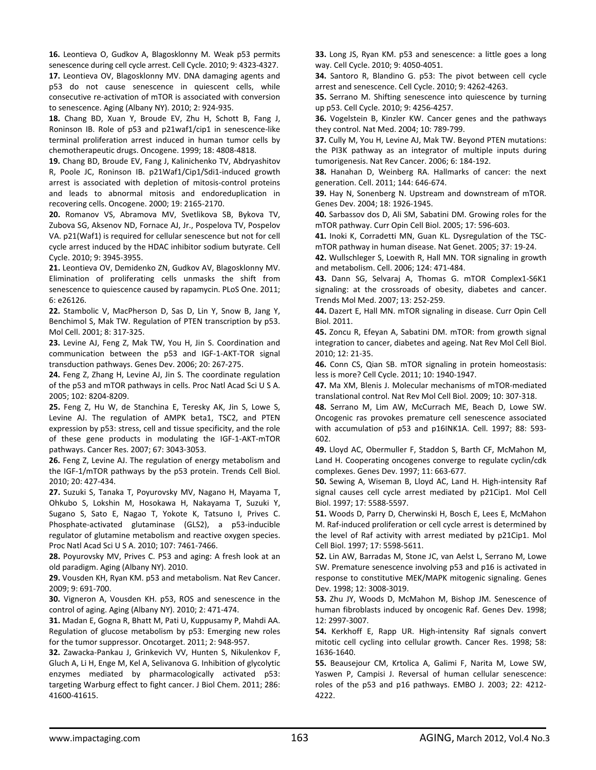**16.** Leontieva O, Gudkov A, Blagosklonny M. Weak p53 permits senescence during cell cycle arrest. Cell Cycle. 2010; 9: 4323‐4327.

**17.** Leontieva OV, Blagosklonny MV. DNA damaging agents and p53 do not cause senescence in quiescent cells, while consecutive re‐activation of mTOR is associated with conversion to senescence. Aging (Albany NY). 2010; 2: 924‐935.

**18.** Chang BD, Xuan Y, Broude EV, Zhu H, Schott B, Fang J, Roninson IB. Role of p53 and p21waf1/cip1 in senescence‐like terminal proliferation arrest induced in human tumor cells by chemotherapeutic drugs. Oncogene. 1999; 18: 4808‐4818.

**19.** Chang BD, Broude EV, Fang J, Kalinichenko TV, Abdryashitov R, Poole JC, Roninson IB. p21Waf1/Cip1/Sdi1‐induced growth arrest is associated with depletion of mitosis‐control proteins and leads to abnormal mitosis and endoreduplication in recovering cells. Oncogene. 2000; 19: 2165‐2170.

**20.** Romanov VS, Abramova MV, Svetlikova SB, Bykova TV, Zubova SG, Aksenov ND, Fornace AJ, Jr., Pospelova TV, Pospelov VA. p21(Waf1) is required for cellular senescence but not for cell cycle arrest induced by the HDAC inhibitor sodium butyrate. Cell Cycle. 2010; 9: 3945‐3955.

**21.** Leontieva OV, Demidenko ZN, Gudkov AV, Blagosklonny MV. Elimination of proliferating cells unmasks the shift from senescence to quiescence caused by rapamycin. PLoS One. 2011; 6: e26126.

**22.** Stambolic V, MacPherson D, Sas D, Lin Y, Snow B, Jang Y, Benchimol S, Mak TW. Regulation of PTEN transcription by p53. Mol Cell. 2001; 8: 317‐325.

**23.** Levine AJ, Feng Z, Mak TW, You H, Jin S. Coordination and communication between the p53 and IGF‐1‐AKT‐TOR signal transduction pathways. Genes Dev. 2006; 20: 267‐275.

**24.** Feng Z, Zhang H, Levine AJ, Jin S. The coordinate regulation of the p53 and mTOR pathways in cells. Proc Natl Acad Sci U S A. 2005; 102: 8204‐8209.

**25.** Feng Z, Hu W, de Stanchina E, Teresky AK, Jin S, Lowe S, Levine AJ. The regulation of AMPK beta1, TSC2, and PTEN expression by p53: stress, cell and tissue specificity, and the role of these gene products in modulating the IGF‐1‐AKT‐mTOR pathways. Cancer Res. 2007; 67: 3043‐3053.

**26.** Feng Z, Levine AJ. The regulation of energy metabolism and the IGF‐1/mTOR pathways by the p53 protein. Trends Cell Biol. 2010; 20: 427‐434.

**27.** Suzuki S, Tanaka T, Poyurovsky MV, Nagano H, Mayama T, Ohkubo S, Lokshin M, Hosokawa H, Nakayama T, Suzuki Y, Sugano S, Sato E, Nagao T, Yokote K, Tatsuno I, Prives C. Phosphate‐activated glutaminase (GLS2), a p53‐inducible regulator of glutamine metabolism and reactive oxygen species. Proc Natl Acad Sci U S A. 2010; 107: 7461‐7466.

**28.** Poyurovsky MV, Prives C. P53 and aging: A fresh look at an old paradigm. Aging (Albany NY). 2010.

**29.** Vousden KH, Ryan KM. p53 and metabolism. Nat Rev Cancer. 2009; 9: 691‐700.

**30.** Vigneron A, Vousden KH. p53, ROS and senescence in the control of aging. Aging (Albany NY). 2010; 2: 471‐474.

**31.** Madan E, Gogna R, Bhatt M, Pati U, Kuppusamy P, Mahdi AA. Regulation of glucose metabolism by p53: Emerging new roles for the tumor suppressor. Oncotarget. 2011; 2: 948‐957.

**32.** Zawacka‐Pankau J, Grinkevich VV, Hunten S, Nikulenkov F, Gluch A, Li H, Enge M, Kel A, Selivanova G. Inhibition of glycolytic enzymes mediated by pharmacologically activated p53: targeting Warburg effect to fight cancer. J Biol Chem. 2011; 286: 41600‐41615.

**33.** Long JS, Ryan KM. p53 and senescence: a little goes a long way. Cell Cycle. 2010; 9: 4050‐4051.

**34.** Santoro R, Blandino G. p53: The pivot between cell cycle arrest and senescence. Cell Cycle. 2010; 9: 4262‐4263.

**35.** Serrano M. Shifting senescence into quiescence by turning up p53. Cell Cycle. 2010; 9: 4256‐4257.

**36.** Vogelstein B, Kinzler KW. Cancer genes and the pathways they control. Nat Med. 2004; 10: 789‐799.

**37.** Cully M, You H, Levine AJ, Mak TW. Beyond PTEN mutations: the PI3K pathway as an integrator of multiple inputs during tumorigenesis. Nat Rev Cancer. 2006; 6: 184‐192.

**38.** Hanahan D, Weinberg RA. Hallmarks of cancer: the next generation. Cell. 2011; 144: 646‐674.

**39.** Hay N, Sonenberg N. Upstream and downstream of mTOR. Genes Dev. 2004; 18: 1926‐1945.

**40.** Sarbassov dos D, Ali SM, Sabatini DM. Growing roles for the mTOR pathway. Curr Opin Cell Biol. 2005; 17: 596‐603.

**41.** Inoki K, Corradetti MN, Guan KL. Dysregulation of the TSC‐ mTOR pathway in human disease. Nat Genet. 2005; 37: 19‐24.

**42.** Wullschleger S, Loewith R, Hall MN. TOR signaling in growth and metabolism. Cell. 2006; 124: 471‐484.

**43.** Dann SG, Selvaraj A, Thomas G. mTOR Complex1‐S6K1 signaling: at the crossroads of obesity, diabetes and cancer. Trends Mol Med. 2007; 13: 252‐259.

**44.** Dazert E, Hall MN. mTOR signaling in disease. Curr Opin Cell Biol. 2011.

**45.** Zoncu R, Efeyan A, Sabatini DM. mTOR: from growth signal integration to cancer, diabetes and ageing. Nat Rev Mol Cell Biol. 2010; 12: 21‐35.

**46.** Conn CS, Qian SB. mTOR signaling in protein homeostasis: less is more? Cell Cycle. 2011; 10: 1940‐1947.

**47.** Ma XM, Blenis J. Molecular mechanisms of mTOR‐mediated translational control. Nat Rev Mol Cell Biol. 2009; 10: 307‐318.

**48.** Serrano M, Lim AW, McCurrach ME, Beach D, Lowe SW. Oncogenic ras provokes premature cell senescence associated with accumulation of p53 and p16INK1A. Cell. 1997; 88: 593‐ 602.

**49.** Lloyd AC, Obermuller F, Staddon S, Barth CF, McMahon M, Land H. Cooperating oncogenes converge to regulate cyclin/cdk complexes. Genes Dev. 1997; 11: 663‐677.

**50.** Sewing A, Wiseman B, Lloyd AC, Land H. High‐intensity Raf signal causes cell cycle arrest mediated by p21Cip1. Mol Cell Biol. 1997; 17: 5588‐5597.

**51.** Woods D, Parry D, Cherwinski H, Bosch E, Lees E, McMahon M. Raf‐induced proliferation or cell cycle arrest is determined by the level of Raf activity with arrest mediated by p21Cip1. Mol Cell Biol. 1997; 17: 5598‐5611.

**52.** Lin AW, Barradas M, Stone JC, van Aelst L, Serrano M, Lowe SW. Premature senescence involving p53 and p16 is activated in response to constitutive MEK/MAPK mitogenic signaling. Genes Dev. 1998; 12: 3008‐3019.

**53.** Zhu JY, Woods D, McMahon M, Bishop JM. Senescence of human fibroblasts induced by oncogenic Raf. Genes Dev. 1998; 12: 2997‐3007.

**54.** Kerkhoff E, Rapp UR. High‐intensity Raf signals convert mitotic cell cycling into cellular growth. Cancer Res. 1998; 58: 1636‐1640.

**55.** Beausejour CM, Krtolica A, Galimi F, Narita M, Lowe SW, Yaswen P, Campisi J. Reversal of human cellular senescence: roles of the p53 and p16 pathways. EMBO J. 2003; 22: 4212‐ 4222.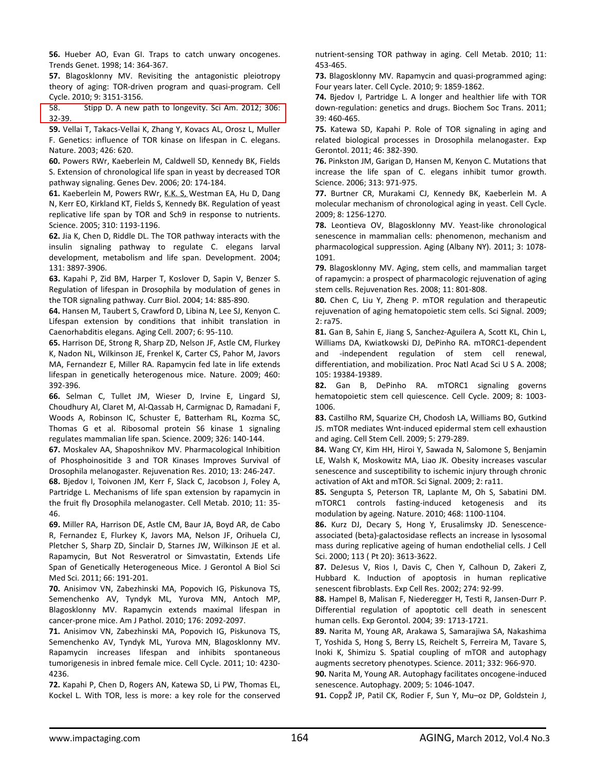**56.** Hueber AO, Evan GI. Traps to catch unwary oncogenes. Trends Genet. 1998; 14: 364‐367.

**57.** Blagosklonny MV. Revisiting the antagonistic pleiotropy theory of aging: TOR‐driven program and quasi‐program. Cell Cycle. 2010; 9: 3151‐3156.

58. Stipp D. A new path to longevity. Sci Am. 2012; 306: 32‐39.

**59.** Vellai T, Takacs‐Vellai K, Zhang Y, Kovacs AL, Orosz L, Muller F. Genetics: influence of TOR kinase on lifespan in C. elegans. Nature. 2003; 426: 620.

**60.** Powers RWr, Kaeberlein M, Caldwell SD, Kennedy BK, Fields S. Extension of chronological life span in yeast by decreased TOR pathway signaling. Genes Dev. 2006; 20: 174‐184.

**61.** Kaeberlein M, Powers RWr, K.K. S, Westman EA, Hu D, Dang N, Kerr EO, Kirkland KT, Fields S, Kennedy BK. Regulation of yeast replicative life span by TOR and Sch9 in response to nutrients. Science. 2005; 310: 1193‐1196.

**62.** Jia K, Chen D, Riddle DL. The TOR pathway interacts with the insulin signaling pathway to regulate C. elegans larval development, metabolism and life span. Development. 2004; 131: 3897‐3906.

**63.** Kapahi P, Zid BM, Harper T, Koslover D, Sapin V, Benzer S. Regulation of lifespan in Drosophila by modulation of genes in the TOR signaling pathway. Curr Biol. 2004; 14: 885‐890.

**64.** Hansen M, Taubert S, Crawford D, Libina N, Lee SJ, Kenyon C. Lifespan extension by conditions that inhibit translation in Caenorhabditis elegans. Aging Cell. 2007; 6: 95‐110.

**65.** Harrison DE, Strong R, Sharp ZD, Nelson JF, Astle CM, Flurkey K, Nadon NL, Wilkinson JE, Frenkel K, Carter CS, Pahor M, Javors MA, Fernandezr E, Miller RA. Rapamycin fed late in life extends lifespan in genetically heterogenous mice. Nature. 2009; 460: 392‐396.

**66.** Selman C, Tullet JM, Wieser D, Irvine E, Lingard SJ, Choudhury AI, Claret M, Al‐Qassab H, Carmignac D, Ramadani F, Woods A, Robinson IC, Schuster E, Batterham RL, Kozma SC, Thomas G et al. Ribosomal protein S6 kinase 1 signaling regulates mammalian life span. Science. 2009; 326: 140‐144.

**67.** Moskalev AA, Shaposhnikov MV. Pharmacological Inhibition of Phosphoinositide 3 and TOR Kinases Improves Survival of Drosophila melanogaster. Rejuvenation Res. 2010; 13: 246‐247.

**68.** Bjedov I, Toivonen JM, Kerr F, Slack C, Jacobson J, Foley A, Partridge L. Mechanisms of life span extension by rapamycin in the fruit fly Drosophila melanogaster. Cell Metab. 2010; 11: 35‐ 46.

**69.** Miller RA, Harrison DE, Astle CM, Baur JA, Boyd AR, de Cabo R, Fernandez E, Flurkey K, Javors MA, Nelson JF, Orihuela CJ, Pletcher S, Sharp ZD, Sinclair D, Starnes JW, Wilkinson JE et al. Rapamycin, But Not Resveratrol or Simvastatin, Extends Life Span of Genetically Heterogeneous Mice. J Gerontol A Biol Sci Med Sci. 2011; 66: 191‐201.

**70.** Anisimov VN, Zabezhinski MA, Popovich IG, Piskunova TS, Semenchenko AV, Tyndyk ML, Yurova MN, Antoch MP, Blagosklonny MV. Rapamycin extends maximal lifespan in cancer‐prone mice. Am J Pathol. 2010; 176: 2092‐2097.

**71.** Anisimov VN, Zabezhinski MA, Popovich IG, Piskunova TS, Semenchenko AV, Tyndyk ML, Yurova MN, Blagosklonny MV. Rapamycin increases lifespan and inhibits spontaneous tumorigenesis in inbred female mice. Cell Cycle. 2011; 10: 4230‐ 4236.

**72.** Kapahi P, Chen D, Rogers AN, Katewa SD, Li PW, Thomas EL, Kockel L. With TOR, less is more: a key role for the conserved nutrient‐sensing TOR pathway in aging. Cell Metab. 2010; 11: 453‐465.

**73.** Blagosklonny MV. Rapamycin and quasi‐programmed aging: Four years later. Cell Cycle. 2010; 9: 1859‐1862.

**74.** Bjedov I, Partridge L. A longer and healthier life with TOR down‐regulation: genetics and drugs. Biochem Soc Trans. 2011; 39: 460‐465.

**75.** Katewa SD, Kapahi P. Role of TOR signaling in aging and related biological processes in Drosophila melanogaster. Exp Gerontol. 2011; 46: 382‐390.

**76.** Pinkston JM, Garigan D, Hansen M, Kenyon C. Mutations that increase the life span of C. elegans inhibit tumor growth. Science. 2006; 313: 971‐975.

**77.** Burtner CR, Murakami CJ, Kennedy BK, Kaeberlein M. A molecular mechanism of chronological aging in yeast. Cell Cycle. 2009; 8: 1256‐1270.

**78.** Leontieva OV, Blagosklonny MV. Yeast‐like chronological senescence in mammalian cells: phenomenon, mechanism and pharmacological suppression. Aging (Albany NY). 2011; 3: 1078‐ 1091.

**79.** Blagosklonny MV. Aging, stem cells, and mammalian target of rapamycin: a prospect of pharmacologic rejuvenation of aging stem cells. Rejuvenation Res. 2008; 11: 801‐808.

**80.** Chen C, Liu Y, Zheng P. mTOR regulation and therapeutic rejuvenation of aging hematopoietic stem cells. Sci Signal. 2009; 2: ra75.

**81.** Gan B, Sahin E, Jiang S, Sanchez‐Aguilera A, Scott KL, Chin L, Williams DA, Kwiatkowski DJ, DePinho RA. mTORC1‐dependent and -independent regulation of stem cell renewal, differentiation, and mobilization. Proc Natl Acad Sci U S A. 2008; 105: 19384‐19389.

**82.** Gan B, DePinho RA. mTORC1 signaling governs hematopoietic stem cell quiescence. Cell Cycle. 2009; 8: 1003-1006.

**83.** Castilho RM, Squarize CH, Chodosh LA, Williams BO, Gutkind JS. mTOR mediates Wnt‐induced epidermal stem cell exhaustion and aging. Cell Stem Cell. 2009; 5: 279‐289.

**84.** Wang CY, Kim HH, Hiroi Y, Sawada N, Salomone S, Benjamin LE, Walsh K, Moskowitz MA, Liao JK. Obesity increases vascular senescence and susceptibility to ischemic injury through chronic activation of Akt and mTOR. Sci Signal. 2009; 2: ra11.

**85.** Sengupta S, Peterson TR, Laplante M, Oh S, Sabatini DM. mTORC1 controls fasting-induced ketogenesis and modulation by ageing. Nature. 2010; 468: 1100‐1104.

**86.** Kurz DJ, Decary S, Hong Y, Erusalimsky JD. Senescence‐ associated (beta)‐galactosidase reflects an increase in lysosomal mass during replicative ageing of human endothelial cells. J Cell Sci. 2000; 113 ( Pt 20): 3613‐3622.

**87.** DeJesus V, Rios I, Davis C, Chen Y, Calhoun D, Zakeri Z, Hubbard K. Induction of apoptosis in human replicative senescent fibroblasts. Exp Cell Res. 2002; 274: 92‐99.

**88.** Hampel B, Malisan F, Niederegger H, Testi R, Jansen‐Durr P. Differential regulation of apoptotic cell death in senescent human cells. Exp Gerontol. 2004; 39: 1713‐1721.

**89.** Narita M, Young AR, Arakawa S, Samarajiwa SA, Nakashima T, Yoshida S, Hong S, Berry LS, Reichelt S, Ferreira M, Tavare S, Inoki K, Shimizu S. Spatial coupling of mTOR and autophagy augments secretory phenotypes. Science. 2011; 332: 966‐970.

**90.** Narita M, Young AR. Autophagy facilitates oncogene‐induced senescence. Autophagy. 2009; 5: 1046‐1047.

**91.** CoppŽ JP, Patil CK, Rodier F, Sun Y, Mu–oz DP, Goldstein J,